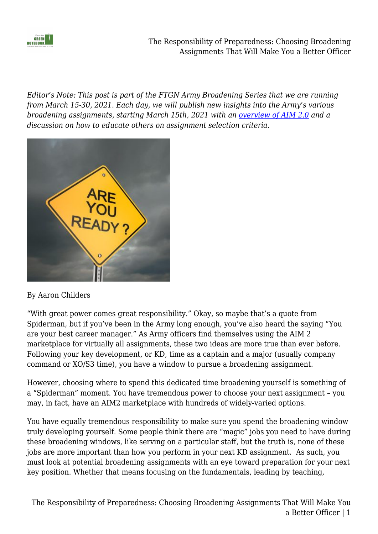

The Responsibility of Preparedness: Choosing Broadening Assignments That Will Make You a Better Officer

*Editor's Note: This post is part of the FTGN Army Broadening Series that we are running from March 15-30, 2021. Each day, we will publish new insights into the Army's various broadening assignments, starting March 15th, 2021 with an [overview of AIM 2.0](https://fromthegreennotebook.com/2021/03/15/aim-2-0-your-one-stop-shop-for-talent-management/) and a discussion on how to educate others on assignment selection criteria.* 



#### By Aaron Childers

"With great power comes great responsibility." Okay, so maybe that's a quote from Spiderman, but if you've been in the Army long enough, you've also heard the saying "You are your best career manager." As Army officers find themselves using the AIM 2 marketplace for virtually all assignments, these two ideas are more true than ever before. Following your key development, or KD, time as a captain and a major (usually company command or XO/S3 time), you have a window to pursue a broadening assignment.

However, choosing where to spend this dedicated time broadening yourself is something of a "Spiderman" moment. You have tremendous power to choose your next assignment – you may, in fact, have an AIM2 marketplace with hundreds of widely-varied options.

You have equally tremendous responsibility to make sure you spend the broadening window truly developing yourself. Some people think there are "magic" jobs you need to have during these broadening windows, like serving on a particular staff, but the truth is, none of these jobs are more important than how you perform in your next KD assignment. As such, you must look at potential broadening assignments with an eye toward preparation for your next key position. Whether that means focusing on the fundamentals, leading by teaching,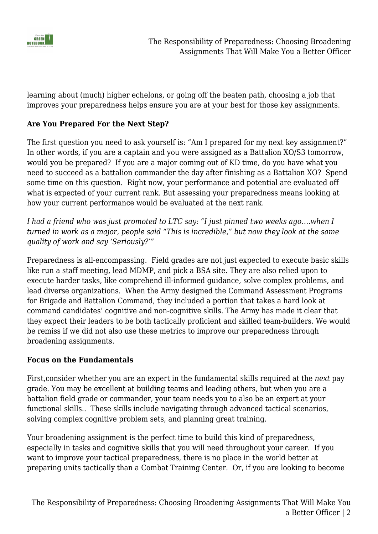

learning about (much) higher echelons, or going off the beaten path, choosing a job that improves your preparedness helps ensure you are at your best for those key assignments.

#### **Are You Prepared For the Next Step?**

The first question you need to ask yourself is: "Am I prepared for my next key assignment?" In other words, if you are a captain and you were assigned as a Battalion XO/S3 tomorrow, would you be prepared? If you are a major coming out of KD time, do you have what you need to succeed as a battalion commander the day after finishing as a Battalion XO? Spend some time on this question. Right now, your performance and potential are evaluated off what is expected of your current rank. But assessing your preparedness means looking at how your current performance would be evaluated at the next rank.

*I had a friend who was just promoted to LTC say: "I just pinned two weeks ago….when I turned in work as a major, people said "This is incredible," but now they look at the same quality of work and say 'Seriously?'"*

Preparedness is all-encompassing. Field grades are not just expected to execute basic skills like run a staff meeting, lead MDMP, and pick a BSA site. They are also relied upon to execute harder tasks, like comprehend ill-informed guidance, solve complex problems, and lead diverse organizations. When the Army designed the Command Assessment Programs for Brigade and Battalion Command, they included a portion that takes a hard look at command candidates' cognitive and non-cognitive skills. The Army has made it clear that they expect their leaders to be both tactically proficient and skilled team-builders. We would be remiss if we did not also use these metrics to improve our preparedness through broadening assignments.

#### **Focus on the Fundamentals**

First,consider whether you are an expert in the fundamental skills required at the *next* pay grade. You may be excellent at building teams and leading others, but when you are a battalion field grade or commander, your team needs you to also be an expert at your functional skills.. These skills include navigating through advanced tactical scenarios, solving complex cognitive problem sets, and planning great training.

Your broadening assignment is the perfect time to build this kind of preparedness, especially in tasks and cognitive skills that you will need throughout your career. If you want to improve your tactical preparedness, there is no place in the world better at preparing units tactically than a Combat Training Center. Or, if you are looking to become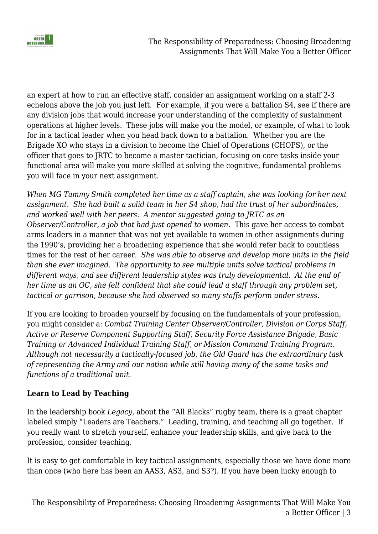

an expert at how to run an effective staff, consider an assignment working on a staff 2-3 echelons above the job you just left. For example, if you were a battalion S4, see if there are any division jobs that would increase your understanding of the complexity of sustainment operations at higher levels. These jobs will make you the model, or example, of what to look for in a tactical leader when you head back down to a battalion. Whether you are the Brigade XO who stays in a division to become the Chief of Operations (CHOPS), or the officer that goes to JRTC to become a master tactician, focusing on core tasks inside your functional area will make you more skilled at solving the cognitive, fundamental problems you will face in your next assignment.

*When MG Tammy Smith completed her time as a staff captain, she was looking for her next assignment. She had built a solid team in her S4 shop, had the trust of her subordinates, and worked well with her peers. A mentor suggested going to JRTC as an Observer/Controller, a job that had just opened to women.* This gave her access to combat arms leaders in a manner that was not yet available to women in other assignments during the 1990's, providing her a broadening experience that she would refer back to countless times for the rest of her career. *She was able to observe and develop more units in the field than she ever imagined. The opportunity to see multiple units solve tactical problems in different ways, and see different leadership styles was truly developmental. At the end of her time as an OC, she felt confident that she could lead a staff through any problem set, tactical or garrison, because she had observed so many staffs perform under stress.*

If you are looking to broaden yourself by focusing on the fundamentals of your profession, you might consider a: *Combat Training Center Observer/Controller, Division or Corps Staff, Active or Reserve Component Supporting Staff, Security Force Assistance Brigade, Basic Training or Advanced Individual Training Staff, or Mission Command Training Program. Although not necessarily a tactically-focused job, the Old Guard has the extraordinary task of representing the Army and our nation while still having many of the same tasks and functions of a traditional unit.*

## **Learn to Lead by Teaching**

In the leadership book *Legacy*, about the "All Blacks" rugby team, there is a great chapter labeled simply "Leaders are Teachers." Leading, training, and teaching all go together. If you really want to stretch yourself, enhance your leadership skills, and give back to the profession, consider teaching.

It is easy to get comfortable in key tactical assignments, especially those we have done more than once (who here has been an AAS3, AS3, and S3?). If you have been lucky enough to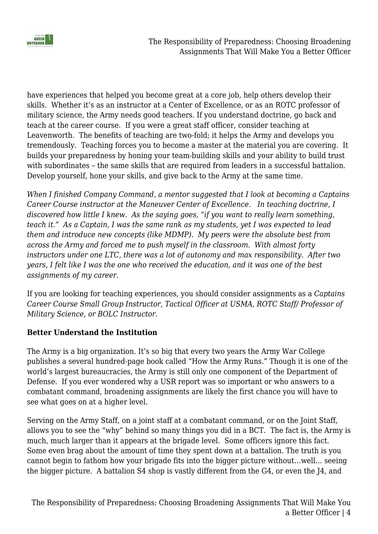

have experiences that helped you become great at a core job, help others develop their skills. Whether it's as an instructor at a Center of Excellence, or as an ROTC professor of military science, the Army needs good teachers. If you understand doctrine, go back and teach at the career course. If you were a great staff officer, consider teaching at Leavenworth. The benefits of teaching are two-fold; it helps the Army and develops you tremendously. Teaching forces you to become a master at the material you are covering. It builds your preparedness by honing your team-building skills and your ability to build trust with subordinates – the same skills that are required from leaders in a successful battalion. Develop yourself, hone your skills, and give back to the Army at the same time.

*When I finished Company Command, a mentor suggested that I look at becoming a Captains Career Course instructor at the Maneuver Center of Excellence. In teaching doctrine, I discovered how little I knew. As the saying goes, "if you want to really learn something, teach it." As a Captain, I was the same rank as my students, yet I was expected to lead them and introduce new concepts (like MDMP). My peers were the absolute best from across the Army and forced me to push myself in the classroom. With almost forty instructors under one LTC, there was a lot of autonomy and max responsibility. After two years, I felt like I was the one who received the education, and it was one of the best assignments of my career.*

If you are looking for teaching experiences, you should consider assignments as a *Captains Career Course Small Group Instructor, Tactical Officer at USMA, ROTC Staff/ Professor of Military Science, or BOLC Instructor.*

## **Better Understand the Institution**

The Army is a big organization. It's so big that every two years the Army War College publishes a several hundred-page book called "How the Army Runs." Though it is one of the world's largest bureaucracies, the Army is still only one component of the Department of Defense. If you ever wondered why a USR report was so important or who answers to a combatant command, broadening assignments are likely the first chance you will have to see what goes on at a higher level.

Serving on the Army Staff, on a joint staff at a combatant command, or on the Joint Staff, allows you to see the "why" behind so many things you did in a BCT. The fact is, the Army is much, much larger than it appears at the brigade level. Some officers ignore this fact. Some even brag about the amount of time they spent down at a battalion. The truth is you cannot begin to fathom how your brigade fits into the bigger picture without…well… seeing the bigger picture. A battalion S4 shop is vastly different from the G4, or even the J4, and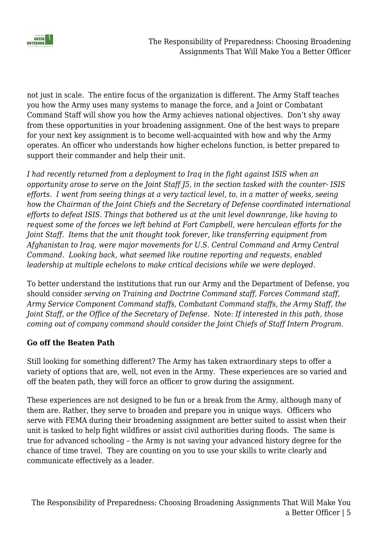

not just in scale. The entire focus of the organization is different. The Army Staff teaches you how the Army uses many systems to manage the force, and a Joint or Combatant Command Staff will show you how the Army achieves national objectives. Don't shy away from these opportunities in your broadening assignment. One of the best ways to prepare for your next key assignment is to become well-acquainted with how and why the Army operates. An officer who understands how higher echelons function, is better prepared to support their commander and help their unit.

*I had recently returned from a deployment to Iraq in the fight against ISIS when an opportunity arose to serve on the Joint Staff J5, in the section tasked with the counter- ISIS efforts. I went from seeing things at a very tactical level, to, in a matter of weeks, seeing how the Chairman of the Joint Chiefs and the Secretary of Defense coordinated international efforts to defeat ISIS. Things that bothered us at the unit level downrange, like having to request some of the forces we left behind at Fort Campbell, were herculean efforts for the Joint Staff. Items that the unit thought took forever, like transferring equipment from Afghanistan to Iraq, were major movements for U.S. Central Command and Army Central Command. Looking back, what seemed like routine reporting and requests, enabled leadership at multiple echelons to make critical decisions while we were deployed.*

To better understand the institutions that run our Army and the Department of Defense, you should consider *serving on Training and Doctrine Command staff, Forces Command staff, Army Service Component Command staffs, Combatant Command staffs, the Army Staff, the Joint Staff, or the Office of the Secretary of Defense.* Note: *If interested in this path, those coming out of company command should consider the Joint Chiefs of Staff Intern Program.*

## **Go off the Beaten Path**

Still looking for something different? The Army has taken extraordinary steps to offer a variety of options that are, well, not even in the Army. These experiences are so varied and off the beaten path, they will force an officer to grow during the assignment.

These experiences are not designed to be fun or a break from the Army, although many of them are. Rather, they serve to broaden and prepare you in unique ways. Officers who serve with FEMA during their broadening assignment are better suited to assist when their unit is tasked to help fight wildfires or assist civil authorities during floods. The same is true for advanced schooling – the Army is not saving your advanced history degree for the chance of time travel. They are counting on you to use your skills to write clearly and communicate effectively as a leader.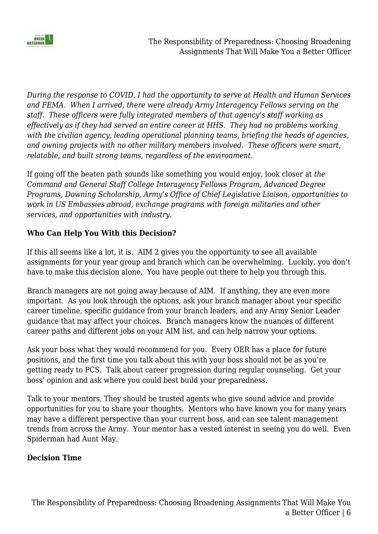

*During the response to COVID, I had the opportunity to serve at Health and Human Services and FEMA. When I arrived, there were already Army Interagency Fellows serving on the staff. These officers were fully integrated members of that agency's staff working as effectively as if they had served an entire career at HHS. They had no problems working with the civilian agency, leading operational planning teams, briefing the heads of agencies, and owning projects with no other military members involved. These officers were smart, relatable, and built strong teams, regardless of the environment.*

If going off the beaten path sounds like something you would enjoy, look closer at *the Command and General Staff College Interagency Fellows Program, Advanced Degree Programs, Downing Scholarship, Army's Office of Chief Legislative Liaison, opportunities to work in US Embassies abroad, exchange programs with foreign militaries and other services, and opportunities with industry.*

## **Who Can Help You With this Decision?**

If this all seems like a lot, it is. AIM 2 gives you the opportunity to see all available assignments for your year group and branch which can be overwhelming. Luckily, you don't have to make this decision alone. You have people out there to help you through this.

Branch managers are not going away because of AIM. If anything, they are even more important. As you look through the options, ask your branch manager about your specific career timeline, specific guidance from your branch leaders, and any Army Senior Leader guidance that may affect your choices. Branch managers know the nuances of different career paths and different jobs on your AIM list, and can help narrow your options.

Ask your boss what they would recommend for you. Every OER has a place for future positions, and the first time you talk about this with your boss should not be as you're getting ready to PCS. Talk about career progression during regular counseling. Get your boss' opinion and ask where you could best build your preparedness.

Talk to your mentors. They should be trusted agents who give sound advice and provide opportunities for you to share your thoughts. Mentors who have known you for many years may have a different perspective than your current boss, and can see talent management trends from across the Army. Your mentor has a vested interest in seeing you do well. Even Spiderman had Aunt May.

#### **Decision Time**